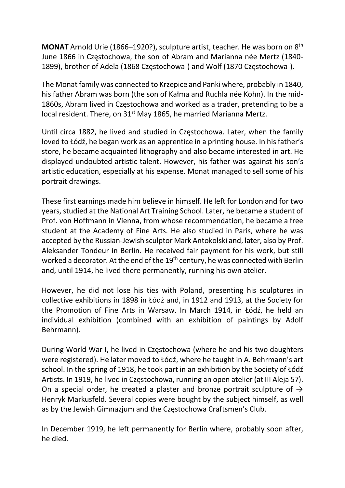MONAT Arnold Urie (1866–1920?), sculpture artist, teacher. He was born on 8<sup>th</sup> June 1866 in Częstochowa, the son of Abram and Marianna née Mertz (1840- 1899), brother of Adela (1868 Częstochowa-) and Wolf (1870 Częstochowa-).

The Monat family was connected to Krzepice and Panki where, probably in 1840, his father Abram was born (the son of Kałma and Ruchla née Kohn). In the mid-1860s, Abram lived in Częstochowa and worked as a trader, pretending to be a local resident. There, on 31<sup>st</sup> May 1865, he married Marianna Mertz.

Until circa 1882, he lived and studied in Częstochowa. Later, when the family loved to Łódź, he began work as an apprentice in a printing house. In his father's store, he became acquainted lithography and also became interested in art. He displayed undoubted artistic talent. However, his father was against his son's artistic education, especially at his expense. Monat managed to sell some of his portrait drawings.

These first earnings made him believe in himself. He left for London and for two years, studied at the National Art Training School. Later, he became a student of Prof. von Hoffmann in Vienna, from whose recommendation, he became a free student at the Academy of Fine Arts. He also studied in Paris, where he was accepted by the Russian-Jewish sculptor Mark Antokolski and, later, also by Prof. Aleksander Tondeur in Berlin. He received fair payment for his work, but still worked a decorator. At the end of the 19<sup>th</sup> century, he was connected with Berlin and, until 1914, he lived there permanently, running his own atelier.

However, he did not lose his ties with Poland, presenting his sculptures in collective exhibitions in 1898 in Łódź and, in 1912 and 1913, at the Society for the Promotion of Fine Arts in Warsaw. In March 1914, in Łódź, he held an individual exhibition (combined with an exhibition of paintings by Adolf Behrmann).

During World War I, he lived in Częstochowa (where he and his two daughters were registered). He later moved to Łódź, where he taught in A. Behrmann's art school. In the spring of 1918, he took part in an exhibition by the Society of Łódź Artists. In 1919, he lived in Częstochowa, running an open atelier (at III Aleja 57). On a special order, he created a plaster and bronze portrait sculpture of  $\rightarrow$ Henryk Markusfeld. Several copies were bought by the subject himself, as well as by the Jewish Gimnazjum and the Częstochowa Craftsmen's Club.

In December 1919, he left permanently for Berlin where, probably soon after, he died.